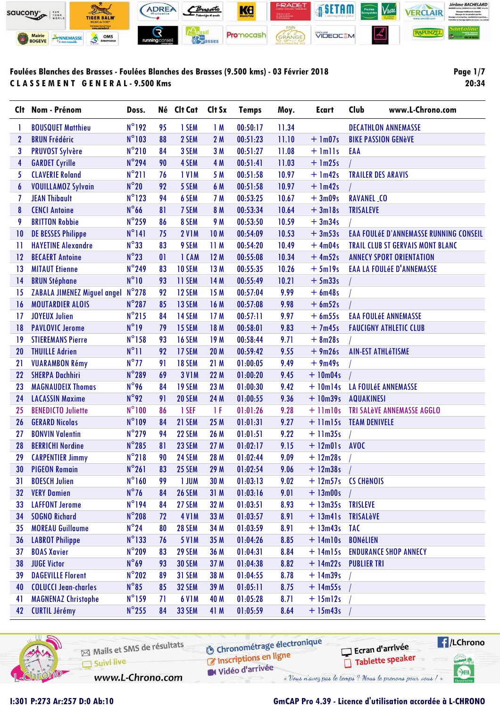

Page 1/7 20:34

| Clt.            | Nom - Prénom                       | Doss.           |    | Né Clt Cat    | Clt Sx          | <b>Temps</b> | Moy.  | Ecart                            | Club                       | www.L-Chrono.com                              |
|-----------------|------------------------------------|-----------------|----|---------------|-----------------|--------------|-------|----------------------------------|----------------------------|-----------------------------------------------|
| 1               | <b>BOUSQUET Matthieu</b>           | $N^{\circ}192$  | 95 | 1 SEM         | 1M              | 00:50:17     | 11.34 |                                  |                            | <b>DECATHLON ANNEMASSE</b>                    |
| $\mathbf{2}$    | <b>BRUN Frédéric</b>               | $N^{\circ}103$  | 88 | 2 SEM         | 2M              | 00:51:23     | 11.10 | $+$ 1m07s                        | <b>BIKE PASSION GENèVE</b> |                                               |
| 3               | <b>PRUVOST Sylvère</b>             | $N^{\circ}210$  | 84 | 3 SEM         | 3M              | 00:51:27     | 11.08 | $+$ $lmlls$                      | EAA                        |                                               |
| 4               | <b>GARDET Cyrille</b>              | $N^{\circ}$ 294 | 90 | 4 SEM         | 4 M             | 00:51:41     | 11.03 | $+$ 1m25s                        |                            |                                               |
| 5               | <b>CLAVERIE Roland</b>             | $N^{\circ}211$  | 76 | <b>IVIM</b>   | 5 M             | 00:51:58     | 10.97 | $+$ 1m42s                        | <b>TRAILER DES ARAVIS</b>  |                                               |
| 6               | <b>VOUILLAMOZ Sylvain</b>          | $N^{\circ}20$   | 92 | 5 SEM         | 6 M             | 00:51:58     | 10.97 | $+$ 1m42s                        |                            |                                               |
| 7               | <b>JEAN Thibault</b>               | $N^{\circ}$ 123 | 94 | 6 SEM         | 7 M             | 00:53:25     | 10.67 | $+3m09s$                         | <b>RAVANEL_CO</b>          |                                               |
| 8               | <b>CENCI Antoine</b>               | $N^{\circ}$ 66  | 81 | 7 SEM         | 8 M             | 00:53:34     | 10.64 | $+3ml8s$                         | <b>TRISALEVE</b>           |                                               |
| 9               | <b>BRITTON Robbie</b>              | $N^{\circ}$ 259 | 86 | 8 SEM         | 9 M             | 00:53:50     | 10.59 | $+3m34s$                         |                            |                                               |
| 10              | <b>DE BESSES Philippe</b>          | $N^{\circ}$ 141 | 75 | <b>2 V1M</b>  | 10 <sub>M</sub> | 00:54:09     | 10.53 | $+3m53s$                         |                            | <b>EAA FOULÉE D'ANNEMASSE RUNNING CONSEIL</b> |
| 11              | <b>HAYETINE Alexandre</b>          | $N^{\circ}33$   | 83 | 9 SEM         | 11 M            | 00:54:20     | 10.49 | $+4m04s$                         |                            | <b>TRAIL CLUB ST GERVAIS MONT BLANC</b>       |
| 12              | <b>BECAERT Antoine</b>             | $N^{\circ}23$   | 01 | 1 CAM         | 12M             | 00:55:08     | 10.34 | $+4m52s$                         |                            | <b>ANNECY SPORT ORIENTATION</b>               |
| 13              | <b>MITAUT Etienne</b>              | N°249           | 83 | 10 SEM        | 13 M            | 00:55:35     | 10.26 | $+5$ ml9s                        |                            | <b>EAA LA FOULÉE D'ANNEMASSE</b>              |
| 14              | <b>BRUN Stéphane</b>               | $N^{\circ}10$   | 93 | 11 SEM        | 14 M            | 00:55:49     | 10.21 | $+5m33s$                         |                            |                                               |
| 15              | <b>ZABALA JIMENEZ Miguel angel</b> | $N^{\circ}$ 278 | 92 | 12 SEM        | 15 M            | 00:57:04     | 9.99  | $+6m48s$                         |                            |                                               |
| 16              | <b>MOUTARDIER ALOIS</b>            | $N^{\circ}287$  | 85 | 13 SEM        | 16 M            | 00:57:08     | 9.98  | $+ 6m52s$                        |                            |                                               |
| 17              | <b>JOYEUX Julien</b>               | $N^{\circ}215$  | 84 | 14 SEM        | 17 M            | 00:57:11     | 9.97  | $+6m55s$                         |                            | <b>EAA FOULÉE ANNEMASSE</b>                   |
| 18              | <b>PAVLOVIC Jerome</b>             | $N^{\circ}19$   | 79 | 15 SEM        | 18 M            | 00:58:01     | 9.83  | $+7m45s$                         |                            | <b>FAUCIGNY ATHLETIC CLUB</b>                 |
| 19              | <b>STIEREMANS Pierre</b>           | $N^{\circ}$ 158 | 93 | 16 SEM        | 19 <sub>M</sub> | 00:58:44     | 9.71  | $+ 8m28s$                        |                            |                                               |
| 20              | <b>THUILLE Adrien</b>              | $N^{\circ}11$   | 92 | 17 SEM        | 20 M            | 00:59:42     | 9.55  | $+9m26s$                         | <b>AIN-EST ATHL6TISME</b>  |                                               |
| 21              | <b>VUARAMBON Rémy</b>              | $N^{\circ}$ 77  | 91 | <b>18 SEM</b> | 21 M            | 01:00:05     | 9.49  | $+9m49s$                         |                            |                                               |
| 22              | <b>SHERPA Dachhiri</b>             | N°289           | 69 | <b>3 V1M</b>  | 22 M            | 01:00:20     | 9.45  | $+10m04s$                        |                            |                                               |
| 23              | <b>MAGNAUDEIX Thomas</b>           | N°96            | 84 | 19 SEM        | 23 M            | 01:00:30     | 9.42  | $+10m14s$                        | LA FOULÉE ANNEMASSE        |                                               |
| 24              | <b>LACASSIN Maxime</b>             | $N^{\circ}$ 92  | 91 | 20 SEM        | 24 M            | 01:00:55     | 9.36  | $+10m39s$                        | <b>AQUAKINESI</b>          |                                               |
| 25              | <b>BENEDICTO Juliette</b>          | $N^{\circ}100$  | 86 | 1 SEF         | 1 F             | 01:01:26     | 9.28  | $+$ 11 $m$ 10s                   |                            | <b>TRI SALèVE ANNEMASSE AGGLO</b>             |
| 26              | <b>GERARD Nicolas</b>              | N°109           | 84 | 21 SEM        | 25 M            | 01:01:31     | 9.27  | + 11m15s TEAM DENIVELE           |                            |                                               |
| 27              | <b>BONVIN Valentin</b>             | $N^{\circ}$ 279 | 94 | 22 SEM        | 26 M            | 01:01:51     | 9.22  | $+11m35s$                        |                            |                                               |
| 28              | <b>BERRICHI Nordine</b>            | N°285           | 81 | 23 SEM        | 27 M            | 01:02:17     | 9.15  | $+ 12m01s$                       | <b>AVOC</b>                |                                               |
| 29              | <b>CARPENTIER Jimmy</b>            | $N^{\circ}218$  | 90 | 24 SEM        | 28 M            | 01:02:44     | 9.09  | $+ 12m28s$                       |                            |                                               |
| 30              | <b>PIGEON Romain</b>               | $N^{\circ}261$  | 83 | 25 SEM        | 29 M            | 01:02:54     | 9.06  | $+ 12m38s$                       |                            |                                               |
| 31              | <b>BOESCH Julien</b>               | $N^{\circ}$ 160 | 99 | 1 JUM         | 30 M            | 01:03:13     | 9.02  | + 12m57s CS CH <sub>e</sub> NOIS |                            |                                               |
| 32 <sub>2</sub> | <b>VERY Damien</b>                 | $N^{\circ}76$   | 84 | <b>26 SEM</b> | 31M             | 01:03:16     | 9.01  | $+ 13 \text{m}00 \text{s}$       |                            |                                               |
| 33              | <b>LAFFONT Jerome</b>              | $N^{\circ}$ 194 | 84 | 27 SEM        | 32 M            | 01:03:51     | 8.93  | +13m35s TRISLEVE                 |                            |                                               |
| 34              | <b>SOGNO Richard</b>               | $N^{\circ}$ 208 | 72 | <b>4 V1M</b>  | 33 M            | 01:03:57     | 8.91  | $+$ 13 $m41s$                    | <b>TRISALèVE</b>           |                                               |
| 35              | <b>MOREAU Guillaume</b>            | $N^{\circ}24$   | 80 | <b>28 SEM</b> | 34 M            | 01:03:59     | 8.91  | $+ 13m43s$ TAC                   |                            |                                               |
| 36              | <b>LABROT Philippe</b>             | $N^{\circ}$ 133 | 76 | <b>5 V1M</b>  | 35 M            | 01:04:26     | 8.85  | $+ 14$ m $10s$                   | <b>BONéLIEN</b>            |                                               |
| 37              | <b>BOAS Xavier</b>                 | $N^{\circ}$ 209 | 83 | 29 SEM        | 36 M            | 01:04:31     | 8.84  | $+$ 14m15s                       |                            | <b>ENDURANCE SHOP ANNECY</b>                  |
| 38              | <b>JUGE Victor</b>                 | $N^{\circ}69$   | 93 | <b>30 SEM</b> | 37 M            | 01:04:38     | 8.82  | $+$ 14m22s                       | <b>PUBLIER TRI</b>         |                                               |
| 39              | <b>DAGEVILLE Florent</b>           | $N^{\circ}202$  | 89 | 31 SEM        | 38 M            | 01:04:55     | 8.78  | $+14m39s$                        |                            |                                               |
| 40              | <b>COLUCCI Jean-charles</b>        | $N^{\circ}85$   | 85 | <b>32 SEM</b> | 39 M            | 01:05:11     | 8.75  | $+ 14m55s$                       |                            |                                               |
| 41              | <b>MAGNENAZ Christophe</b>         | $N^{\circ}$ 159 | 71 | <b>6 V1M</b>  | 40 M            | 01:05:28     | 8.71  | $+15ml2s$                        |                            |                                               |
| 42              | <b>CURTIL Jérémy</b>               | $N^{\circ}$ 255 | 84 | <b>33 SEM</b> | 41 M            | 01:05:59     | 8.64  | $+ 15m43s$                       |                            |                                               |



| $\boxtimes$ Mails et SMS de résultats<br>Suivi live | Ċ |
|-----------------------------------------------------|---|
| www.L-Chrono.com                                    |   |

Chronométrage électronique Inscriptions en ligne

Vidéo d'arrivée

« Vous n'avez pas le temps ? Nous le prenons pour vous / »

#### GmCAP Pro 4.39 - Licence d'utilisation accordée à L-CHRONO

Ecran d'arrivée

Tablette speaker

**E** /LChrono

saties of

SHA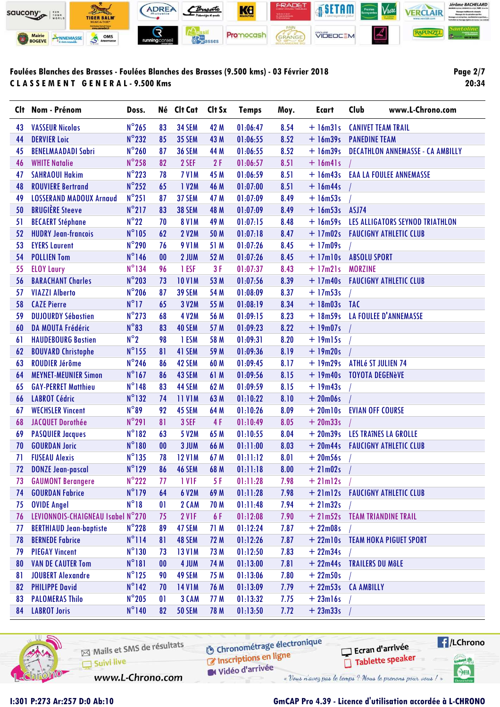

**Page 2/7 20:34**

|    | Clt Nom - Prénom                  | Doss.           |                   | Né Clt Cat    | Clt Sx | <b>Temps</b> | Moy. | <b>Ecart</b>  | Club<br>www.L-Chrono.com                |
|----|-----------------------------------|-----------------|-------------------|---------------|--------|--------------|------|---------------|-----------------------------------------|
| 43 | <b>VASSEUR Nicolas</b>            | $N^{\circ}$ 265 | 83                | <b>34 SEM</b> | 42 M   | 01:06:47     | 8.54 | $+ 16m31s$    | <b>CANIVET TEAM TRAIL</b>               |
| 44 | <b>DERVIER Loic</b>               | $N^{\circ}$ 232 | 85                | <b>35 SEM</b> | 43 M   | 01:06:55     | 8.52 | $+ 16m39s$    | <b>PANEDINE TEAM</b>                    |
| 45 | <b>BENELMAADADI Sabri</b>         | $N^{\circ}260$  | 87                | <b>36 SEM</b> | 44 M   | 01:06:55     | 8.52 | $+16m39s$     | <b>DECATHLON ANNEMASSE - CA AMBILLY</b> |
| 46 | <b>WHITE Natalie</b>              | $N^{\circ}$ 258 | 82                | 2 SEF         | 2F     | 01:06:57     | 8.51 | $+$ 16m41s    |                                         |
| 47 | <b>SAHRAOUI Hakim</b>             | $N^{\circ}$ 223 | 78                | <b>7 V1M</b>  | 45 M   | 01:06:59     | 8.51 | $+ 16m43s$    | <b>EAA LA FOULEE ANNEMASSE</b>          |
| 48 | <b>ROUVIERE Bertrand</b>          | $N^{\circ}$ 252 | 65                | 1 V2M         | 46 M   | 01:07:00     | 8.51 | $+ 16m44s$    |                                         |
| 49 | <b>LOSSERAND MADOUX Arnaud</b>    | $N^{\circ}251$  | 87                | 37 SEM        | 47 M   | 01:07:09     | 8.49 | $+16m53s$     |                                         |
| 50 | <b>BRUGIÈRE Steeve</b>            | $N^{\circ}217$  | 83                | <b>38 SEM</b> | 48 M   | 01:07:09     | 8.49 | $+ 16m53s$    | ASJ74                                   |
| 51 | <b>BECAERT Stéphane</b>           | $N^{\circ}22$   | 70                | <b>8 V1M</b>  | 49 M   | 01:07:15     | 8.48 | $+ 16m59s$    | LES ALLIGATORS SEYNOD TRIATHLON         |
| 52 | <b>HUDRY Jean-francois</b>        | $N^{\circ}105$  | 62                | <b>2 V2M</b>  | 50 M   | 01:07:18     | 8.47 | $+17m02s$     | <b>FAUCIGNY ATHLETIC CLUB</b>           |
| 53 | <b>EYERS Laurent</b>              | N°290           | 76                | <b>9 V1M</b>  | 51 M   | 01:07:26     | 8.45 | $+17m09s$     |                                         |
| 54 | <b>POLLIEN Tom</b>                | $N^{\circ}$ 146 | 00                | 2 JUM         | 52 M   | 01:07:26     | 8.45 | $+17$ m $10s$ | <b>ABSOLU SPORT</b>                     |
| 55 | <b>ELOY Laury</b>                 | $N^{\circ}$ 134 | 96                | 1 ESF         | 3F     | 01:07:37     | 8.43 | $+17m21s$     | <b>MORZINE</b>                          |
| 56 | <b>BARACHANT Charles</b>          | $N^{\circ}$ 203 | 73                | <b>10 V1M</b> | 53 M   | 01:07:56     | 8.39 | $+17m40s$     | <b>FAUCIGNY ATHLETIC CLUB</b>           |
| 57 | <b>VIAZZI Alberto</b>             | $N^{\circ}$ 206 | 87                | <b>39 SEM</b> | 54 M   | 01:08:09     | 8.37 | $+17m53s$     |                                         |
| 58 | <b>CAZE Pierre</b>                | $N^{\circ}17$   | 65                | 3 V2M         | 55 M   | 01:08:19     | 8.34 | $+ 18m03s$    | <b>TAC</b>                              |
| 59 | <b>DUJOURDY Sébastien</b>         | $N^{\circ}$ 273 | 68                | 4 V2M         | 56 M   | 01:09:15     | 8.23 | $+ 18m59s$    | LA FOULEE D'ANNEMASSE                   |
| 60 | DA MOUTA Frédéric                 | $N^{\circ}83$   | 83                | 40 SEM        | 57 M   | 01:09:23     | 8.22 | $+19m07s$     |                                         |
| 61 | <b>HAUDEBOURG Bastien</b>         | $N^{\circ}2$    | 98                | 1 ESM         | 58 M   | 01:09:31     | 8.20 | $+19m15s$     |                                         |
| 62 | <b>BOUVARD Christophe</b>         | $N^{\circ}$ 155 | 81                | 41 SEM        | 59 M   | 01:09:36     | 8.19 | $+19m20s$     |                                         |
| 63 | <b>ROUDIER Jérôme</b>             | $N^{\circ}$ 246 | 86                | 42 SEM        | 60 M   | 01:09:45     | 8.17 | $+19m29s$     | <b>ATHLé ST JULIEN 74</b>               |
| 64 | <b>MEYNET-MEUNIER Simon</b>       | $N^{\circ}$ 167 | 86                | 43 SEM        | 61 M   | 01:09:56     | 8.15 | $+19m40s$     | <b>TOYOTA DEGENèVE</b>                  |
| 65 | <b>GAY-PERRET Matthieu</b>        | $N^{\circ}$ 148 | 83                | 44 SEM        | 62 M   | 01:09:59     | 8.15 | $+19m43s$     |                                         |
| 66 | <b>LABROT Cédric</b>              | $N^{\circ}132$  | 74                | <b>11 V1M</b> | 63 M   | 01:10:22     | 8.10 | $+20m06s$     |                                         |
| 67 | <b>WECHSLER Vincent</b>           | $N^{\circ}89$   | 92                | 45 SEM        | 64 M   | 01:10:26     | 8.09 | $+20$ ml $0s$ | <b>EVIAN OFF COURSE</b>                 |
| 68 | <b>JACQUET Dorothée</b>           | $N^{\circ}291$  | 81                | 3 SEF         | 4F     | 01:10:49     | 8.05 | $+20m33s$     |                                         |
| 69 | <b>PASQUIER Jacques</b>           | $N^{\circ}182$  | 63                | <b>5 V2M</b>  | 65 M   | 01:10:55     | 8.04 | $+20m39s$     | LES TRAÎNES LA GROLLE                   |
| 70 | <b>GOURDAN Joric</b>              | $N^{\circ}180$  | 00                | 3 JUM         | 66 M   | 01:11:00     | 8.03 | $+20m44s$     | <b>FAUCIGNY ATHLETIC CLUB</b>           |
| 71 | <b>FUSEAU Alexis</b>              | $N^{\circ}$ 135 | 78                | <b>12 V1M</b> | 67 M   | 01:11:12     | 8.01 | $+20m56s$     |                                         |
| 72 | <b>DONZE Jean-pascal</b>          | $N^{\circ}129$  | 86                | 46 SEM        | 68 M   | 01:11:18     | 8.00 | $+21m02s$     |                                         |
| 73 | <b>GAUMONT Berangere</b>          | $N^{\circ}$ 222 | 77                | 1 VIF         | 5 F    | 01:11:28     | 7.98 | $+21ml2s$     |                                         |
| 74 | <b>GOURDAN Fabrice</b>            | $N^{\circ}$ 179 | 64                | 6 V2M         | 69 M   | 01:11:28     | 7.98 |               | + 21m12s  FAUCIGNY ATHLETIC CLUB        |
| 75 | <b>OVIDE Angel</b>                | $N^{\circ}18$   | $\mathbf{0}$      | 2 CAM         | 70 M   | 01:11:48     | 7.94 | $+21m32s$     |                                         |
| 76 | LEVIONNOIS-CHAIGNEAU Isabel N°270 |                 | 75                | <b>2 V1F</b>  | 6 F    | 01:12:08     | 7.90 |               | + 21m52s TEAM TRIANDINE TRAIL           |
| 77 | <b>BERTHIAUD Jean-baptiste</b>    | $N^{\circ}$ 228 | 89                | 47 SEM        | 71 M   | 01:12:24     | 7.87 | $+22m08s$     |                                         |
| 78 | <b>BERNEDE Fabrice</b>            | $N^{\circ}114$  | 81                | 48 SEM        | 72 M   | 01:12:26     | 7.87 |               | + 22m10s TEAM HOKA PIGUET SPORT         |
| 79 | <b>PIEGAY Vincent</b>             | $N^{\circ}130$  | 73                | <b>13 V1M</b> | 73 M   | 01:12:50     | 7.83 | $+22m34s$     |                                         |
| 80 | <b>VAN DE CAUTER Tom</b>          | $N^{\circ}181$  | $\boldsymbol{00}$ | 4 JUM         | 74 M   | 01:13:00     | 7.81 | $+22m44s$     | <b>TRAILERS DU MÔLE</b>                 |
| 81 | <b>JOUBERT Alexandre</b>          | $N^{\circ}$ 125 | 90                | 49 SEM        | 75 M   | 01:13:06     | 7.80 | $+22m50s$     |                                         |
| 82 | <b>PHILIPPE David</b>             | $N^{\circ}$ 142 | 70                | <b>14 V1M</b> | 76 M   | 01:13:09     | 7.79 |               | + 22m53s CA AMBILLY                     |
| 83 | <b>PALOMERAS Thilo</b>            | $N^{\circ}$ 205 | $\mathbf{0}$      | 3 CAM         | 77 M   | 01:13:32     | 7.75 | $+23ml6s$     |                                         |
| 84 | <b>LABROT Joris</b>               | $N^{\circ}$ 140 | 82                | <b>50 SEM</b> | 78 M   | 01:13:50     | 7.72 | $+23m33s$     |                                         |
|    |                                   |                 |                   |               |        |              |      |               |                                         |



Mails et SMS de résultats Inscriptions en ligne  $\overline{\Box}$  Suivi live W Vidéo d'arrivée www.L-Chrono.com

**O Chronométrage électronique** 

« Vous n'avez pas le temps ? Nous le prenons pour vous / »

 $\blacksquare$ /LChrono Ecran d'arrivée Tablette speaker **Latiel** SHA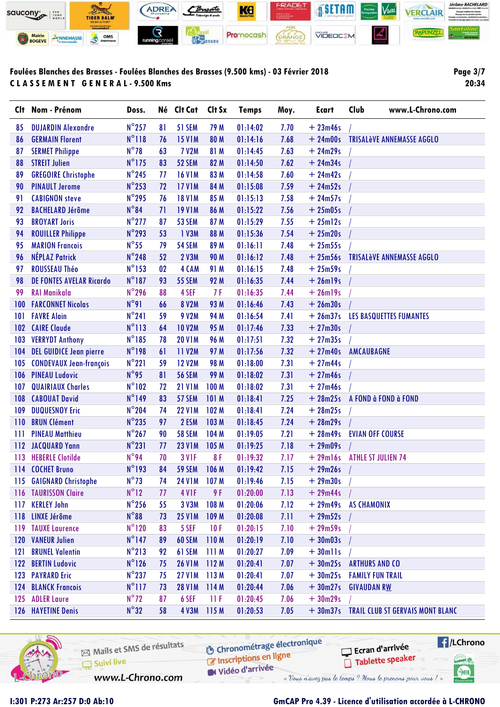

**Page 3/7 20:34**

|     | Clt Nom - Prénom                | Doss.           |    | Né Clt Cat    | Clt Sx           | <b>Temps</b> | Moy. | <b>Ecart</b> | Club                    | www.L-Chrono.com                          |
|-----|---------------------------------|-----------------|----|---------------|------------------|--------------|------|--------------|-------------------------|-------------------------------------------|
| 85  | <b>DUJARDIN Alexandre</b>       | $N^{\circ}$ 257 | 81 | 51 SEM        | 79 M             | 01:14:02     | 7.70 | $+23m46s$    |                         |                                           |
| 86  | <b>GERMAIN Florent</b>          | $N^{\circ}118$  | 76 | <b>15 V1M</b> | 80 M             | 01:14:16     | 7.68 | $+24m00s$    |                         | <b>TRISALèVE ANNEMASSE AGGLO</b>          |
| 87  | <b>SERMET Philippe</b>          | $N^{\circ}78$   | 63 | <b>7 V2M</b>  | 81 M             | 01:14:45     | 7.63 | $+24m29s$    |                         |                                           |
| 88  | <b>STREIT Julien</b>            | $N^{\circ}$ 175 | 83 | 52 SEM        | 82 M             | 01:14:50     | 7.62 | $+24m34s$    |                         |                                           |
| 89  | <b>GREGOIRE Christophe</b>      | $N^{\circ}$ 245 | 77 | <b>16 V1M</b> | 83 M             | 01:14:58     | 7.60 | $+24m42s$    |                         |                                           |
| 90  | <b>PINAULT Jerome</b>           | $N^{\circ}$ 253 | 72 | <b>17 V1M</b> | 84 M             | 01:15:08     | 7.59 | $+24m52s$    |                         |                                           |
| 91  | <b>CABIGNON steve</b>           | N°295           | 76 | <b>18 V1M</b> | 85 M             | 01:15:13     | 7.58 | $+24m57s$    |                         |                                           |
| 92  | <b>BACHELARD Jérôme</b>         | $N^{\circ}84$   | 71 | <b>19 V1M</b> | 86 M             | 01:15:22     | 7.56 | $+25m05s$    |                         |                                           |
| 93  | <b>BROYART Joris</b>            | $N^{\circ}$ 277 | 87 | 53 SEM        | 87 M             | 01:15:29     | 7.55 | $+25ml2s$    |                         |                                           |
| 94  | <b>ROUILLER Philippe</b>        | N°293           | 53 | 1 V3M         | 88 M             | 01:15:36     | 7.54 | $+25m20s$    |                         |                                           |
| 95  | <b>MARION Francois</b>          | $N^{\circ}55$   | 79 | <b>54 SEM</b> | 89 M             | 01:16:11     | 7.48 | $+25m55s$    |                         |                                           |
| 96  | <b>NÉPLAZ Patrick</b>           | $N^{\circ}$ 248 | 52 | <b>2 V3M</b>  | 90 M             | 01:16:12     | 7.48 | $+25m56s$    |                         | <b>TRISALèVE ANNEMASSE AGGLO</b>          |
| 97  | <b>ROUSSEAU Théo</b>            | $N^{\circ}$ 153 | 02 | 4 CAM         | 91 M             | 01:16:15     | 7.48 | $+25m59s$    |                         |                                           |
| 98  | <b>DE FONTES AVELAR Ricardo</b> | $N^{\circ}187$  | 93 | <b>55 SEM</b> | 92 M             | 01:16:35     | 7.44 | $+26$ ml9s   |                         |                                           |
| 99  | <b>RAI Manikala</b>             | $N^{\circ}$ 296 | 88 | 4 SEF         | 7F               | 01:16:35     | 7.44 | $+26$ ml9s   |                         |                                           |
| 100 | <b>FARCONNET Nicolas</b>        | $N^{\circ}91$   | 66 | <b>8 V2M</b>  | 93 M             | 01:16:46     | 7.43 | $+26m30s$    |                         |                                           |
| 101 | <b>FAVRE Alain</b>              | $N^{\circ}241$  | 59 | <b>9 V2M</b>  | 94 M             | 01:16:54     | 7.41 | $+26m37s$    |                         | LES BASQUETTES FUMANTES                   |
| 102 | <b>CAIRE Claude</b>             | $N^{\circ}113$  | 64 | <b>10 V2M</b> | 95 M             | 01:17:46     | 7.33 | $+27m30s$    |                         |                                           |
| 103 | <b>VERRYDT Anthony</b>          | $N^{\circ}185$  | 78 | <b>20 V1M</b> | 96 M             | 01:17:51     | 7.32 | $+27m35s$    |                         |                                           |
| 104 | <b>DEL GUIDICE Jean pierre</b>  | $N^{\circ}$ 198 | 61 | <b>11 V2M</b> | 97 M             | 01:17:56     | 7.32 | $+27m40s$    | AMCAUBAGNE              |                                           |
| 105 | <b>CONDEVAUX Jean-françois</b>  | $N^{\circ}221$  | 59 | <b>12 V2M</b> | <b>98 M</b>      | 01:18:00     | 7.31 | $+27m44s$    |                         |                                           |
|     | 106 PINEAU Ludovic              | $N^{\circ}$ 95  | 81 | <b>56 SEM</b> | 99 M             | 01:18:02     | 7.31 | $+27m46s$    |                         |                                           |
| 107 | <b>QUAIRIAUX Charles</b>        | $N^{\circ}102$  | 72 | <b>21 V1M</b> | <b>100 M</b>     | 01:18:02     | 7.31 | $+27m46s$    |                         |                                           |
| 108 | <b>CABOUAT David</b>            | $N^{\circ}$ 149 | 83 | 57 SEM        | 101 M            | 01:18:41     | 7.25 | $+28m25s$    |                         | A FOND à FOND à FOND                      |
| 109 | <b>DUQUESNOY Eric</b>           | $N^{\circ}$ 204 | 74 | <b>22 V1M</b> | 102 <sub>M</sub> | 01:18:41     | 7.24 | $+28m25s$    |                         |                                           |
| 110 | <b>BRUN Clément</b>             | $N^{\circ}$ 235 | 97 | 2 ESM         | 103 M            | 01:18:45     | 7.24 | $+28m29s$    |                         |                                           |
| Ш   | <b>PINEAU Matthieu</b>          | $N^{\circ}$ 267 | 90 | <b>58 SEM</b> | 104 M            | 01:19:05     | 7.21 | $+28m49s$    | <b>EVIAN OFF COURSE</b> |                                           |
|     | 112 JACQUARD Yann               | $N^{\circ}231$  | 77 | <b>23 V1M</b> | 105 M            | 01:19:25     | 7.18 | $+29m09s$    |                         |                                           |
| 113 | <b>HEBERLE Clotilde</b>         | $N^{\circ}$ 94  | 70 | <b>3 V1F</b>  | 8F               | 01:19:32     | 7.17 | $+29$ ml6s   |                         | <b>ATHLE ST JULIEN 74</b>                 |
| 114 | <b>COCHET Bruno</b>             | $N^{\circ}$ 193 | 84 | <b>59 SEM</b> | 106 M            | 01:19:42     | 7.15 | $+29m26s$    |                         |                                           |
|     | 115 GAIGNARD Christophe         | $N^{\circ}73$   | 74 | <b>24 V1M</b> | 107 <sub>M</sub> | 01:19:46     | 7.15 | $+29m30s$    |                         |                                           |
|     | 116 TAURISSON Claire            | $N^{\circ}12$   | 77 | 4 VIF         | 9F               | 01:20:00     | 7.13 | $+29m44s$    |                         |                                           |
|     | 117 KERLEY John                 | $N^{\circ}$ 256 | 55 | 3 V3M         | 108 M            | 01:20:06     | 7.12 | $+29m49s$    | AS CHAMONIX             |                                           |
|     | 118 LINXE Jérôme                | $N^{\circ}88$   | 73 | <b>25 V1M</b> | 109 M            | 01:20:08     | 7.11 | $+29m52s$    |                         |                                           |
|     | 119 TAUXE Laurence              | $N^{\circ}120$  | 83 | 5 SEF         | 10F              | 01:20:15     | 7.10 | $+29m59s$    |                         |                                           |
|     | 120 VANEUR Julien               | $N^{\circ}$ 147 | 89 | 60 SEM        | 110M             | 01:20:19     | 7.10 | $+30m03s$    |                         |                                           |
| 121 | <b>BRUNEL Valentin</b>          | $N^{\circ}213$  | 92 | 61 SEM        | 111M             | 01:20:27     | 7.09 | $+30$ mlls   |                         |                                           |
|     | 122 BERTIN Ludovic              | $N^{\circ}$ 126 | 75 | <b>26 V1M</b> | 112M             | 01:20:41     | 7.07 | $+30m25s$    | <b>ARTHURS AND CO</b>   |                                           |
|     | 123 PAYRARD Eric                | $N^{\circ}$ 237 | 75 | <b>27 V1M</b> | 113M             | 01:20:41     | 7.07 | $+30m25s$    | <b>FAMILY FUN TRAIL</b> |                                           |
|     | <b>124 BLANCK Francois</b>      | $N^{\circ}$ 117 | 73 | <b>28 V1M</b> | 114M             | 01:20:44     | 7.06 | $+30m27s$    | <b>GIVAUDAN RW</b>      |                                           |
|     | 125 ADLER Laure                 | $N^{\circ}72$   | 87 | 6 SEF         | 11F              | 01:20:45     | 7.06 | $+30m29s$    |                         |                                           |
|     | 126 HAYETINE Denis              | $N^{\circ}32$   | 58 | <b>4 V3M</b>  | 115 M            | 01:20:53     | 7.05 |              |                         | + 30m37s TRAIL CLUB ST GERVAIS MONT BLANC |
|     |                                 |                 |    |               |                  |              |      |              |                         |                                           |



| MS de résultats | Chronométrage électronique<br>Inscriptions en ligne |  |
|-----------------|-----------------------------------------------------|--|
| $\epsilon$      | <b>M</b> Vidéo d'arrivée                            |  |



www.L-Chrono.com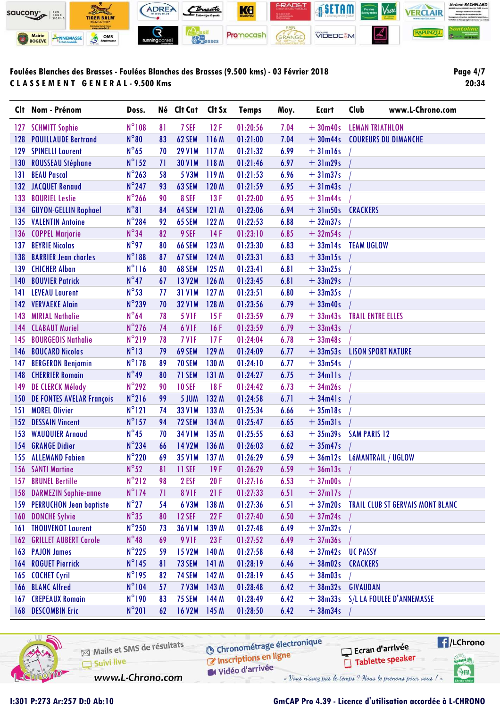

Page 4/7 20:34

|     | Clt Nom - Prénom               | Doss.           |    | Né Clt Cat    | Clt Sx | <b>Temps</b> | Moy. | <b>Ecart</b>  | Club<br>www.L-Chrono.com                 |
|-----|--------------------------------|-----------------|----|---------------|--------|--------------|------|---------------|------------------------------------------|
| 127 | <b>SCHMITT Sophie</b>          | N°108           | 81 | 7 SEF         | 12F    | 01:20:56     | 7.04 | $+30m40s$     | <b>LEMAN TRIATHLON</b>                   |
| 128 | <b>POUILLAUDE Bertrand</b>     | $N^{\circ}80$   | 83 | 62 SEM        | 116 M  | 01:21:00     | 7.04 | $+30m44s$     | <b>COUREURS DU DIMANCHE</b>              |
| 129 | <b>SPINELLI Laurent</b>        | $N^{\circ}$ 65  | 70 | <b>29 V1M</b> | 117 M  | 01:21:32     | 6.99 | $+31ml6s$     |                                          |
| 130 | <b>ROUSSEAU Stéphane</b>       | $N^{\circ}$ 152 | 71 | <b>30 V1M</b> | 118 M  | 01:21:46     | 6.97 | $+31m29s$     |                                          |
| 131 | <b>BEAU Pascal</b>             | $N^{\circ}$ 263 | 58 | 5 V3M         | 119 M  | 01:21:53     | 6.96 | $+31m37s$     |                                          |
| 132 | <b>JACQUET Renaud</b>          | $N^{\circ}$ 247 | 93 | 63 SEM        | 120 M  | 01:21:59     | 6.95 | $+31m43s$     |                                          |
| 133 | <b>BOURIEL Leslie</b>          | $N^{\circ}$ 266 | 90 | 8 SEF         | 13F    | 01:22:00     | 6.95 | $+31m44s$     |                                          |
| 134 | <b>GUYON-GELLIN Raphael</b>    | $N^{\circ}81$   | 84 | 64 SEM        | 121 M  | 01:22:06     | 6.94 | $+31m50s$     | <b>CRACKERS</b>                          |
| 135 | <b>VALENTIN Antoine</b>        | N°284           | 92 | 65 SEM        | 122 M  | 01:22:53     | 6.88 | $+32m37s$     |                                          |
| 136 | <b>COPPEL Marjorie</b>         | $N^{\circ}34$   | 82 | 9 SEF         | 14F    | 01:23:10     | 6.85 | $+32m54s$     |                                          |
| 137 | <b>BEYRIE Nicolas</b>          | $N^{\circ}$ 97  | 80 | <b>66 SEM</b> | 123 M  | 01:23:30     | 6.83 | $+33ml4s$     | <b>TEAM UGLOW</b>                        |
| 138 | <b>BARRIER Jean charles</b>    | $N^{\circ}188$  | 87 | 67 SEM        | 124 M  | 01:23:31     | 6.83 | $+33$ ml5s    |                                          |
| 139 | <b>CHICHER Alban</b>           | $N^{\circ}116$  | 80 | 68 SEM        | 125 M  | 01:23:41     | 6.81 | $+33m25s$     |                                          |
| 140 | <b>BOUVIER Patrick</b>         | $N^{\circ}47$   | 67 | <b>13 V2M</b> | 126 M  | 01:23:45     | 6.81 | $+33m29s$     |                                          |
| 141 | <b>LEVEAU Laurent</b>          | $N^{\circ}53$   | 77 | <b>31 V1M</b> | 127 M  | 01:23:51     | 6.80 | $+33m35s$     |                                          |
| 142 | <b>VERVAEKE Alain</b>          | $N^{\circ}$ 239 | 70 | <b>32 V1M</b> | 128 M  | 01:23:56     | 6.79 | $+33m40s$     |                                          |
| 143 | <b>MIRIAL Nathalie</b>         | $N^{\circ}64$   | 78 | <b>5 V1F</b>  | 15F    | 01:23:59     | 6.79 | $+33m43s$     | <b>TRAIL ENTRE ELLES</b>                 |
| 144 | <b>CLABAUT Muriel</b>          | $N^{\circ}$ 276 | 74 | 6 VIF         | 16F    | 01:23:59     | 6.79 | $+33m43s$     |                                          |
| 145 | <b>BOURGEOIS Nathalie</b>      | $N^{\circ}219$  | 78 | 7 VIF         | 17F    | 01:24:04     | 6.78 | $+33m48s$     |                                          |
| 146 | <b>BOUCARD Nicolas</b>         | $N^{\circ}13$   | 79 | 69 SEM        | 129 M  | 01:24:09     | 6.77 | $+33m53s$     | <b>LISON SPORT NATURE</b>                |
| 147 | <b>BERGERON Benjamin</b>       | $N^{\circ}$ 178 | 89 | <b>70 SEM</b> | 130 M  | 01:24:10     | 6.77 | $+33m54s$     |                                          |
| 148 | <b>CHERRIER Romain</b>         | $N^{\circ}49$   | 80 | 71 SEM        | 131 M  | 01:24:27     | 6.75 | $+34$ mlls    |                                          |
| 149 | <b>DE CLERCK Mélody</b>        | $N^{\circ}$ 292 | 90 | <b>10 SEF</b> | 18F    | 01:24:42     | 6.73 | $+34m26s$     |                                          |
| 150 | DE FONTES AVELAR François      | $N^{\circ}216$  | 99 | 5 JUM         | 132 M  | 01:24:58     | 6.71 | $+34m41s$     |                                          |
| 151 | <b>MOREL Olivier</b>           | $N^{\circ}121$  | 74 | <b>33 V1M</b> | 133 M  | 01:25:34     | 6.66 | $+35$ ml $8s$ |                                          |
| 152 | <b>DESSAIN Vincent</b>         | $N^{\circ}$ 157 | 94 | 72 SEM        | 134 M  | 01:25:47     | 6.65 | $+35m31s$     |                                          |
| 153 | <b>WAUQUIER Arnaud</b>         | $N^{\circ}45$   | 70 | <b>34 V1M</b> | 135 M  | 01:25:55     | 6.63 | $+35m39s$     | <b>SAM PARIS 12</b>                      |
| 154 | <b>GRANGE Didier</b>           | $N^{\circ}$ 234 | 66 | <b>14 V2M</b> | 136 M  | 01:26:03     | 6.62 | $+35m47s$     |                                          |
| 155 | <b>ALLEMAND Fabien</b>         | $N^{\circ}220$  | 69 | <b>35 V1M</b> | 137 M  | 01:26:29     | 6.59 | $+36m12s$     | <b>LÉMANTRAIL / UGLOW</b>                |
|     | 156 SANTI Martine              | $N^{\circ}52$   | 81 | 11 SEF        | 19F    | 01:26:29     | 6.59 | $+36$ ml $3s$ |                                          |
| 157 | <b>BRUNEL Bertille</b>         | $N^{\circ}212$  | 98 | 2 ESF         | 20F    | 01:27:16     | 6.53 | $+37m00s$     |                                          |
| 158 | <b>DARMEZIN Sophie-anne</b>    | $N^{\circ}$ 174 | 71 | <b>8 V1F</b>  | 21F    | 01:27:33     | 6.51 | $+37$ ml7s    |                                          |
| 159 | <b>PERRUCHON Jean baptiste</b> | $N^{\circ}27$   | 54 | 6 V3M         | 138 M  | 01:27:36     | 6.51 |               | +37m20s TRAIL CLUB ST GERVAIS MONT BLANC |
| 160 | <b>DONCHE Sylvie</b>           | $N^{\circ}35$   | 80 | <b>12 SEF</b> | 22F    | 01:27:40     | 6.50 | $+37m24s$     |                                          |
| 161 | <b>THOUVENOT Laurent</b>       | $N^{\circ}$ 250 | 73 | <b>36 V1M</b> | 139 M  | 01:27:48     | 6.49 | $+37m32s$     |                                          |
| 162 | <b>GRILLET AUBERT Carole</b>   | $N^{\circ}48$   | 69 | 9 VIF         | 23F    | 01:27:52     | 6.49 | $+37m36s$     |                                          |
|     | 163 PAJON James                | $N^{\circ}$ 225 | 59 | <b>15 V2M</b> | 140 M  | 01:27:58     | 6.48 | $+37m42s$     | <b>UC PASSY</b>                          |
| 164 | <b>ROGUET Pierrick</b>         | $N^{\circ}$ 145 | 81 | 73 SEM        | 141 M  | 01:28:19     | 6.46 | $+38m02s$     | <b>CRACKERS</b>                          |
| 165 | <b>COCHET Cyril</b>            | $N^{\circ}$ 195 | 82 | 74 SEM        | 142 M  | 01:28:19     | 6.45 | $+38m03s$     |                                          |
| 166 | <b>BLANC Alfred</b>            | $N^{\circ}104$  | 57 | <b>7 V3M</b>  | 143 M  | 01:28:48     | 6.42 | $+38m32s$     | <b>GIVAUDAN</b>                          |
| 167 | <b>CREPEAUX Romain</b>         | $N^{\circ}$ 190 | 83 | 75 SEM        | 144 M  | 01:28:49     | 6.42 | $+38m33s$     | S/L LA FOULEE D'ANNEMASSE                |
| 168 | <b>DESCOMBIN Eric</b>          | $N^{\circ}201$  | 62 | <b>16 V2M</b> | 145 M  | 01:28:50     | 6.42 | $+38m34s$     |                                          |
|     |                                |                 |    |               |        |              |      |               |                                          |



| Mails et SMS de résultats | Chronométrage électronique | $\Box$ Ecran d'arrivée                                  |
|---------------------------|----------------------------|---------------------------------------------------------|
| Suivi live                | Inscriptions en ligne      | Tablette speaker                                        |
| www.L-Chrono.com          | <b>M</b> Vidéo d'arrivée   | « Vous n'avez pas le temps? Nous le prenons pour vous!» |



I:301 P:273 Ar:257 D:0 Ab:10

### GmCAP Pro 4.39 - Licence d'utilisation accordée à L-CHRONO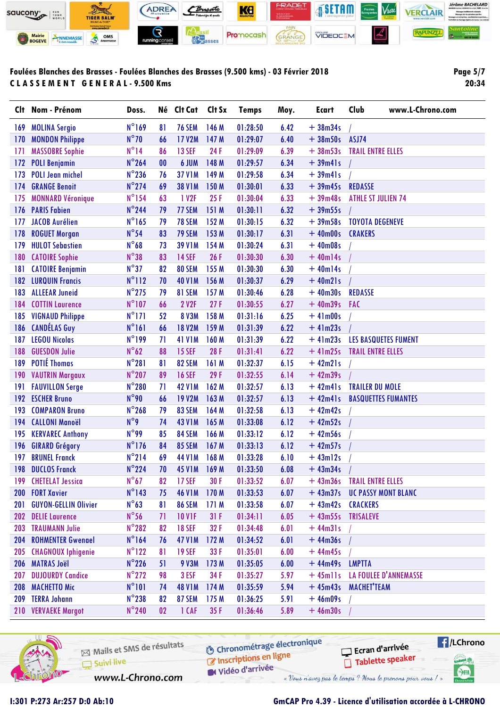

**Page 5/7 20:34**

|            | Clt Nom - Prénom            | Doss.           | Né        | Clt Cat           | Clt Sx | <b>Temps</b> | Moy. | <b>Ecart</b>      | Club<br>www.L-Chrono.com    |
|------------|-----------------------------|-----------------|-----------|-------------------|--------|--------------|------|-------------------|-----------------------------|
| 169        | <b>MOLINA Sergio</b>        | $N^{\circ}169$  | 81        | <b>76 SEM</b>     | 146 M  | 01:28:50     | 6.42 | $+38m34s$         |                             |
| 170        | <b>MONDON Philippe</b>      | $N^{\circ}$ 70  | 66        | <b>17 V2M</b>     | 147 M  | 01:29:07     | 6.40 | $+38m50s$         | ASJ74                       |
| 171        | <b>MASSOBRE Sophie</b>      | $N^{\circ}14$   | 86        | <b>13 SEF</b>     | 24F    | 01:29:09     | 6.39 | $+38m53s$         | <b>TRAIL ENTRE ELLES</b>    |
| 172        | <b>POLI Benjamin</b>        | $N^{\circ}$ 264 | $\bf{00}$ | 6 JUM             | 148 M  | 01:29:57     | 6.34 | $+39m41s$         |                             |
| 173        | <b>POLI Jean michel</b>     | $N^{\circ}$ 236 | 76        | <b>37 V1M</b>     | 149 M  | 01:29:58     | 6.34 | $+39m41s$         |                             |
| 174        | <b>GRANGE Benoit</b>        | $N^{\circ}$ 274 | 69        | <b>38 V1M</b>     | 150 M  | 01:30:01     | 6.33 | $+39m45s$         | <b>REDASSE</b>              |
| 175        | <b>MONNARD Véronique</b>    | $N^{\circ}$ 154 | 63        | 1 V <sub>2F</sub> | 25F    | 01:30:04     | 6.33 | $+39m48s$         | <b>ATHLE ST JULIEN 74</b>   |
| 176        | <b>PARIS Fabien</b>         | $N^{\circ}$ 244 | 79        | 77 SEM            | 151 M  | 01:30:11     | 6.32 | $+39m55s$         |                             |
| 177        | <b>JACOB Aurélien</b>       | $N^{\circ}165$  | 79        | <b>78 SEM</b>     | 152 M  | 01:30:15     | 6.32 | $+39m58s$         | <b>TOYOTA DEGENEVE</b>      |
| 178        | <b>ROGUET Morgan</b>        | $N^{\circ}54$   | 83        | 79 SEM            | 153 M  | 01:30:17     | 6.31 | $+40m00s$         | <b>CRAKERS</b>              |
| 179        | <b>HULOT Sebastien</b>      | $N^{\circ}68$   | 73        | <b>39 V1M</b>     | 154 M  | 01:30:24     | 6.31 | $+40m08s$         |                             |
| 180        | <b>CATOIRE Sophie</b>       | $N^{\circ}38$   | 83        | <b>14 SEF</b>     | 26F    | 01:30:30     | 6.30 | $+40m14s$         |                             |
| 181        | <b>CATOIRE Benjamin</b>     | $N^{\circ}37$   | 82        | 80 SEM            | 155 M  | 01:30:30     | 6.30 | $+40m14s$         |                             |
| 182        | <b>LURQUIN Francis</b>      | $N^{\circ}112$  | 70        | <b>40 V1M</b>     | 156 M  | 01:30:37     | 6.29 | $+40m21s$         |                             |
| 183        | <b>ALLEEAR Juneid</b>       | $N^{\circ}$ 275 | 79        | 81 SEM            | 157 M  | 01:30:46     | 6.28 | $+40m30s$         | <b>REDASSE</b>              |
| 184        | <b>COTTIN Laurence</b>      | $N^{\circ}107$  | 66        | <b>2 V2F</b>      | 27F    | 01:30:55     | 6.27 | $+40m39s$         | <b>FAC</b>                  |
| 185        | <b>VIGNAUD Philippe</b>     | $N^{\circ}171$  | 52        | <b>8 V3M</b>      | 158 M  | 01:31:16     | 6.25 | $+41m00s$         |                             |
| 186        | <b>CANDÉLAS Guy</b>         | $N^{\circ}161$  | 66        | <b>18 V2M</b>     | 159 M  | 01:31:39     | 6.22 | $+41m23s$         |                             |
| 187        | <b>LEGOU Nicolas</b>        | N°199           | 71        | <b>41 V1M</b>     | 160 M  | 01:31:39     | 6.22 | $+41m23s$         | <b>LES BASQUETES FUMENT</b> |
| 188        | <b>GUESDON Julie</b>        | $N^{\circ}62$   | 88        | <b>15 SEF</b>     | 28F    | 01:31:41     | 6.22 | $+41m25s$         | <b>TRAIL ENTRE ELLES</b>    |
| 189        | <b>POTIÉ Thomas</b>         | $N^{\circ}281$  | 81        | 82 SEM            | 161 M  | 01:32:37     | 6.15 | $+42m21s$         |                             |
| 190        | <b>VAUTRIN Margaux</b>      | $N^{\circ}$ 207 | 89        | <b>16 SEF</b>     | 29F    | 01:32:55     | 6.14 | $+42m39s$         |                             |
| 191        | <b>FAUVILLON Serge</b>      | N°280           | 71        | <b>42 V1M</b>     | 162 M  | 01:32:57     | 6.13 | $+42m41s$         | <b>TRAILER DU MOLE</b>      |
| 192        | <b>ESCHER Bruno</b>         | $N^{\circ}$ 90  | 66        | <b>19 V2M</b>     | 163 M  | 01:32:57     | 6.13 | $+42m41s$         | <b>BASQUETTES FUMANTES</b>  |
| 193        | <b>COMPARON Bruno</b>       | $N^{\circ}$ 268 | 79        | 83 SEM            | 164 M  | 01:32:58     | 6.13 | $+42m42s$         |                             |
| 194        | <b>CALLONI Manoël</b>       | $N^{\circ}9$    | 74        | <b>43 V1M</b>     | 165 M  | 01:33:08     | 6.12 | $+42m52s$         |                             |
| 195        | <b>KERVAREC Anthony</b>     | $N^{\circ}$ 99  | 85        | 84 SEM            | 166 M  | 01:33:12     | 6.12 | $+42m56s$         |                             |
| 196        | <b>GIRARD Grégory</b>       | $N^{\circ}$ 176 | 84        | 85 SEM            | 167 M  | 01:33:13     | 6.12 | $+42m57s$         |                             |
| 197        | <b>BRUNEL Franck</b>        | $N^{\circ}214$  | 69        | <b>44 V1M</b>     | 168 M  | 01:33:28     | 6.10 | $+43ml2s$         |                             |
| 198        | <b>DUCLOS Franck</b>        | $N^{\circ}$ 224 | 70        | <b>45 V1M</b>     | 169 M  | 01:33:50     | 6.08 | $+43m34s$         |                             |
| 199        | <b>CHETELAT Jessica</b>     | $N^{\circ}67$   | 82        | <b>17 SEF</b>     | 30 F   | 01:33:52     | 6.07 | $+43m36s$         | <b>TRAIL ENTRE ELLES</b>    |
| <b>200</b> | <b>FORT Xavier</b>          | $N^{\circ}$ 143 | 75        | <b>46 V1M</b>     | 170 M  | 01:33:53     | 6.07 | $+43m37s$         | <b>UC PASSY MONT BLANC</b>  |
| 201        | <b>GUYON-GELLIN Olivier</b> | $N^{\circ}63$   | 81        | <b>86 SEM</b>     | 171 M  | 01:33:58     | 6.07 | +43m42s CRACKERS  |                             |
| 202        | <b>DELIE Laurence</b>       | $N^{\circ}$ 56  | 71        | <b>10 V1F</b>     | 31F    | 01:34:11     | 6.05 | +43m55s TRISALEVE |                             |
| 203        | <b>TRAUMANN Julie</b>       | $N^{\circ}282$  | 82        | <b>18 SEF</b>     | 32F    | 01:34:48     | 6.01 | $+44m31s$         |                             |
| 204        | <b>ROHMENTER Gwenael</b>    | $N^{\circ}164$  | 76        | <b>47 V1M</b>     | 172 M  | 01:34:52     | 6.01 | $+44m36s$         |                             |
|            | 205 CHAGNOUX Iphigenie      | $N^{\circ}122$  | 81        | <b>19 SEF</b>     | 33 F   | 01:35:01     | 6.00 | $+44m45s$         |                             |
| 206        | <b>MATRAS Joël</b>          | $N^{\circ}$ 226 | 51        | <b>9 V3M</b>      | 173 M  | 01:35:05     | 6.00 | $+44m49s$         | <b>LMPTTA</b>               |
| 207        | <b>DUJOURDY Candice</b>     | $N^{\circ}$ 272 | 98        | 3 ESF             | 34F    | 01:35:27     | 5.97 | $+45$ mlls        | LA FOULEE D'ANNEMASSE       |
| 208        | <b>MACHETTO Mic</b>         | $N^{\circ}101$  | 74        | <b>48 V1M</b>     | 174M   | 01:35:59     | 5.94 | $+45m43s$         | <b>MACHET'TEAM</b>          |
| 209        | <b>TERRA Johann</b>         | $N^{\circ}$ 238 | 82        | <b>87 SEM</b>     | 175 M  | 01:36:25     | 5.91 | $+46m09s$         |                             |
|            | 210 VERVAEKE Margot         | $N^{\circ}$ 240 | 02        | 1 CAF             | 35F    | 01:36:46     | 5.89 | $+46m30s$         |                             |
|            |                             |                 |           |                   |        |              |      |                   |                             |

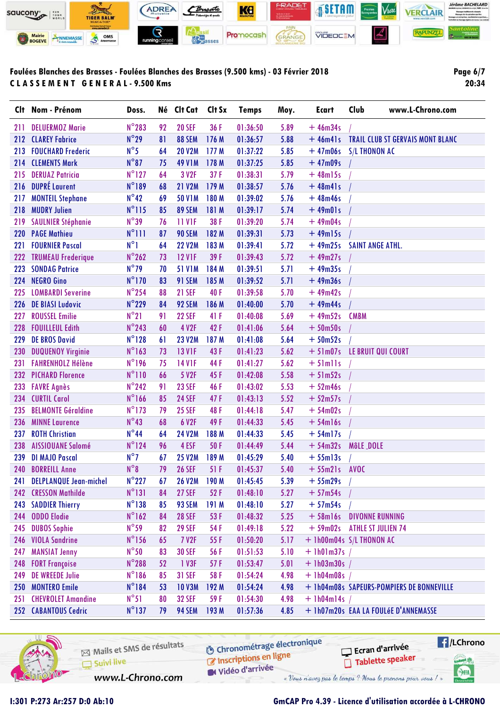

**Page 6/7 20:34**

| N°283<br><b>20 SEF</b><br>36 F<br>5.89<br><b>DELUERMOZ Marie</b><br>92<br>01:36:50<br>$+46m34s$<br>211                                                |  |
|-------------------------------------------------------------------------------------------------------------------------------------------------------|--|
|                                                                                                                                                       |  |
| $N^{\circ}29$<br><b>CLAREY Fabrice</b><br>81<br>88 SEM<br>176 M<br>5.88<br>01:36:57<br>$+46m41s$<br><b>TRAIL CLUB ST GERVAIS MONT BLANC</b><br>212    |  |
| $N^{\circ}5$<br><b>20 V2M</b><br>5.85<br><b>FOUCHARD Frederic</b><br>64<br>177 M<br>01:37:22<br><b>S/L THONON AC</b><br>213<br>$+47m06s$              |  |
| $N^{\circ}87$<br><b>CLEMENTS Mark</b><br><b>49 V1M</b><br>178 M<br>5.85<br>$+47m09s$<br>75<br>01:37:25<br>214                                         |  |
| $N^{\circ}$ 127<br>3 V <sub>2F</sub><br>37F<br><b>DERUAZ Patricia</b><br>64<br>01:38:31<br>5.79<br>$+48$ ml5s<br>215                                  |  |
| N°189<br><b>DUPRÉ Laurent</b><br>216<br>68<br><b>21 V2M</b><br>179 M<br>5.76<br>01:38:57<br>$+48m41s$                                                 |  |
| $N^{\circ}42$<br><b>MONTEIL Stephane</b><br>69<br><b>50 V1M</b><br>180 M<br>5.76<br>217<br>01:39:02<br>$+48m46s$                                      |  |
| $N^{\circ}115$<br>89 SEM<br><b>MUDRY Julien</b><br>85<br>181 M<br>5.74<br>01:39:17<br>$+49m01s$<br>218                                                |  |
| $N^{\circ}39$<br>38 F<br><b>11 V1F</b><br>5.74<br>$+49m04s$<br><b>SAULNIER Stéphanie</b><br>76<br>01:39:20<br>219                                     |  |
| $N^{\circ}$ 111<br>182 M<br><b>PAGE Mathieu</b><br>87<br>90 SEM<br>$+49$ ml5s<br>01:39:31<br>5.73<br><b>220</b>                                       |  |
| $N^{\circ}$ ]<br><b>22 V2M</b><br><b>FOURNIER Pascal</b><br>64<br>183 M<br>5.72<br>$+49m25s$<br><b>SAINT ANGE ATHL.</b><br>221<br>01:39:41            |  |
| $N^{\circ}$ 262<br>39F<br>5.72<br><b>TRUMEAU Frederique</b><br>73<br><b>12 V1F</b><br>$+49m27s$<br>222<br>01:39:43                                    |  |
| $N^{\circ}$ 79<br><b>SONDAG Patrice</b><br><b>51 V1M</b><br>184 M<br>$+49m35s$<br>223<br>70<br>01:39:51<br>5.71                                       |  |
| $N^{\circ}$ 170<br>91 SEM<br><b>NEGRO Gino</b><br>83<br>185 M<br>5.71<br>01:39:52<br>$+49m36s$<br>224                                                 |  |
| $N^{\circ}$ 254<br>88<br><b>21 SEF</b><br>40F<br><b>LOMBARDI Severine</b><br>5.70<br>$+49m42s$<br>225<br>01:39:58                                     |  |
| $N^{\circ}$ 229<br><b>DE BIASI Ludovic</b><br>92 SEM<br>186 M<br>$+49m44s$<br>84<br>01:40:00<br>5.70<br><b>226</b>                                    |  |
| $N^{\circ}21$<br><b>ROUSSEL Emilie</b><br>91<br><b>22 SEF</b><br>41 F<br>5.69<br><b>CMBM</b><br>01:40:08<br>$+49m52s$<br>227                          |  |
| $N^{\circ}$ 243<br>60<br>4 V2F<br>42F<br>5.64<br><b>FOUILLEUL Edith</b><br>$+50m50s$<br>228<br>01:41:06                                               |  |
| $N^{\circ}128$<br><b>DE BROS David</b><br><b>23 V2M</b><br>187 M<br>5.64<br>229<br>61<br>01:41:08<br>$+50m52s$                                        |  |
| $N^{\circ}$ 163<br>73<br><b>13 V1F</b><br>43F<br>5.62<br>LE BRUIT QUI COURT<br><b>DUQUENOY Virginie</b><br>01:41:23<br>$+51m07s$<br>230               |  |
| N°196<br><b>14 V1F</b><br>5.62<br><b>FAHRENHOLZ Hélène</b><br>75<br>44 F<br>01:41:27<br>231<br>$+ 5$ lmlls                                            |  |
| $N^{\circ}110$<br>5 V2F<br>45F<br><b>PICHARD Florence</b><br>66<br>01:42:08<br>5.58<br>$+51m52s$<br>232                                               |  |
| $N^{\circ}$ 242<br>91<br><b>23 SEF</b><br>46 F<br>01:43:02<br>5.53<br>$+52m46s$<br>233<br><b>FAVRE Agnès</b>                                          |  |
| $N^{\circ}$ 166<br>47F<br>5.52<br><b>CURTIL Carol</b><br>85<br><b>24 SEF</b><br>01:43:13<br>$+52m57s$<br>234                                          |  |
| $N^{\circ}$ 173<br><b>BELMONTE Géraldine</b><br>79<br><b>25 SEF</b><br>48F<br>5.47<br>235<br>01:44:18<br>$+54m02s$                                    |  |
| $N^{\circ}43$<br>68<br><b>MINNE Laurence</b><br>6 V2F<br>49F<br>5.45<br>01:44:33<br>$+ 54$ ml6s<br>236                                                |  |
| $N^{\circ}44$<br><b>24 V2M</b><br>188 M<br><b>ROTH Christian</b><br>64<br>5.45<br>$+54ml7s$<br>237<br>01:44:33                                        |  |
| $N^{\circ}$ 124<br>96<br>4 ESF<br>50F<br>5.44<br><b>AISSIOUANE Salomé</b><br>01:44:49<br>$+54m32s$<br>MôLE DOLE<br>238                                |  |
| $N^{\circ}$<br><b>25 V2M</b><br><b>DI MAJO Pascal</b><br>189 M<br>5.40<br>239<br>67<br>01:45:29<br>$+ 55$ ml $3s$                                     |  |
| $N^{\circ}8$<br>79<br>51 F<br>5.40<br>240<br><b>BORREILL Anne</b><br><b>26 SEF</b><br>01:45:37<br>$+ 55 m21 s$<br><b>AVOC</b>                         |  |
| $N^{\circ}227$<br><b>DELPLANQUE Jean-michel</b><br><b>26 V2M</b><br>190 M<br>01:45:45<br>5.39<br>$+55m29s$<br>67<br>241                               |  |
| $N^{\circ}$ 131<br>52F<br><b>CRESSON Mathilde</b><br><b>27 SEF</b><br>84<br>01:48:10<br>5.27<br>$+57m54s$<br>242                                      |  |
| $N^{\circ}138$<br>93 SEM<br>243<br><b>SADDIER Thierry</b><br>85<br>191 M<br>01:48:10<br>5.27<br>$+57m54s$                                             |  |
| $N^{\circ}162$<br><b>ODDO</b> Elodie<br><b>28 SEF</b><br>53F<br>84<br>01:48:32<br>5.25<br>$+ 58$ ml6s<br><b>DIVONNE RUNNING</b><br>244                |  |
| $N^{\circ}$ 59<br><b>DUBOS Sophie</b><br>82<br><b>29 SEF</b><br>54 F<br>$+59m02s$<br>01:49:18<br>5.22<br><b>ATHLE ST JULIEN 74</b><br>245             |  |
| $N^{\circ}$ 156<br><b>VIOLA Sandrine</b><br>55F<br>+ 1h00m04s S/L THONON AC<br>246<br>65<br><b>7 V2F</b><br>01:50:20<br>5.17                          |  |
| $N^{\circ}50$<br><b>MANSIAT Jenny</b><br>83<br><b>30 SEF</b><br>56 F<br>01:51:53<br>5.10<br>$+$ 1h01m37s /<br>247                                     |  |
| $N^{\circ}$ 288<br><b>FORT Françoise</b><br>52<br>1 V3F<br>57F<br>01:53:47<br>5.01<br>$+ 1h03m30s$<br>248                                             |  |
| $N^{\circ}186$<br><b>DE WREEDE Julie</b><br>85<br><b>31 SEF</b><br>58 F<br>01:54:24<br>4.98<br>$+$ 1h04m08s /<br>249                                  |  |
| $N^{\circ}184$<br><b>MONTERO Emile</b><br>53<br><b>10 V3M</b><br>192 M<br>01:54:24<br>4.98<br>+ 1h04m08s SAPEURS-POMPIERS DE BONNEVILLE<br><b>250</b> |  |
| $N^{\circ}51$<br><b>CHEVROLET Amandine</b><br><b>32 SEF</b><br>59F<br>4.98<br>80<br>01:54:30<br>$+$ 1h04m14s /<br>251                                 |  |
| $N^{\circ}$ 137<br>252 CABANTOUS Cedric<br>94 SEM<br>193 M<br>+ 1h07m20s EAA LA FOULÉE D'ANNEMASSE<br>79<br>01:57:36<br>4.85                          |  |